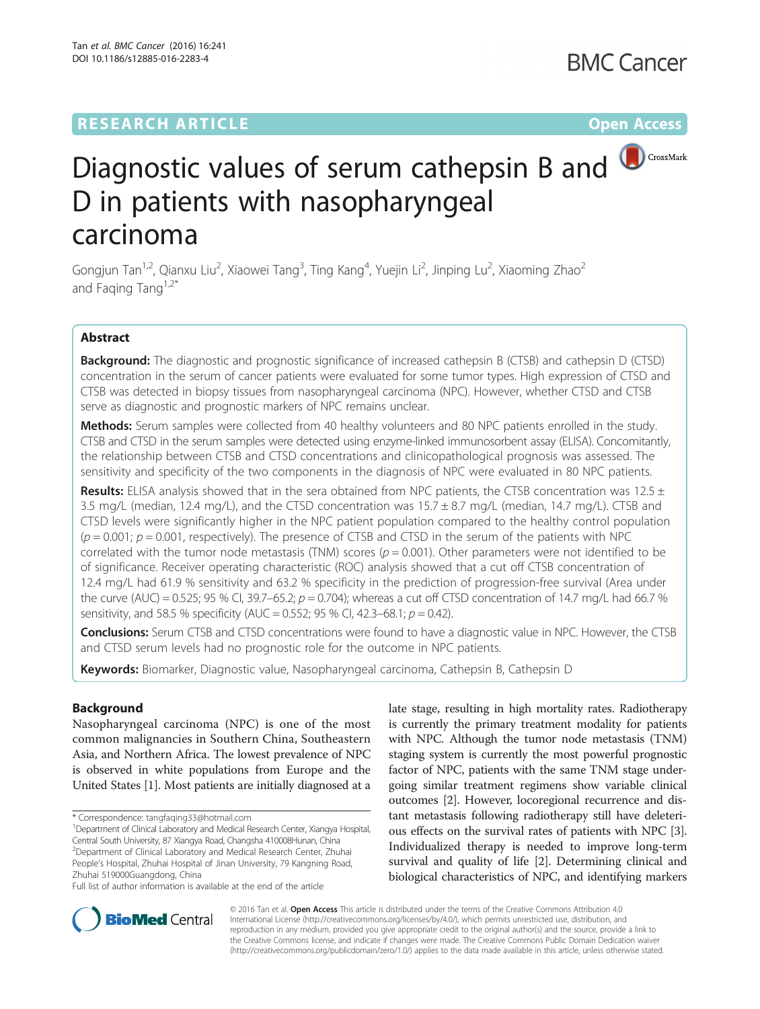# **RESEARCH ARTICLE External Structure Community Community Community Community Community Community Community Community**



# Diagnostic values of serum cathepsin B and D in patients with nasopharyngeal carcinoma

Gongjun Tan<sup>1,2</sup>, Qianxu Liu<sup>2</sup>, Xiaowei Tang<sup>3</sup>, Ting Kang<sup>4</sup>, Yuejin Li<sup>2</sup>, Jinping Lu<sup>2</sup>, Xiaoming Zhao<sup>2</sup> and Faqing Tang $1,2^*$ 

### Abstract

Background: The diagnostic and prognostic significance of increased cathepsin B (CTSB) and cathepsin D (CTSD) concentration in the serum of cancer patients were evaluated for some tumor types. High expression of CTSD and CTSB was detected in biopsy tissues from nasopharyngeal carcinoma (NPC). However, whether CTSD and CTSB serve as diagnostic and prognostic markers of NPC remains unclear.

**Methods:** Serum samples were collected from 40 healthy volunteers and 80 NPC patients enrolled in the study. CTSB and CTSD in the serum samples were detected using enzyme-linked immunosorbent assay (ELISA). Concomitantly, the relationship between CTSB and CTSD concentrations and clinicopathological prognosis was assessed. The sensitivity and specificity of the two components in the diagnosis of NPC were evaluated in 80 NPC patients.

**Results:** ELISA analysis showed that in the sera obtained from NPC patients, the CTSB concentration was 12.5  $\pm$ 3.5 mg/L (median, 12.4 mg/L), and the CTSD concentration was  $15.7 \pm 8.7$  mg/L (median, 14.7 mg/L). CTSB and CTSD levels were significantly higher in the NPC patient population compared to the healthy control population  $(p = 0.001; p = 0.001$ , respectively). The presence of CTSB and CTSD in the serum of the patients with NPC correlated with the tumor node metastasis (TNM) scores ( $p = 0.001$ ). Other parameters were not identified to be of significance. Receiver operating characteristic (ROC) analysis showed that a cut off CTSB concentration of 12.4 mg/L had 61.9 % sensitivity and 63.2 % specificity in the prediction of progression-free survival (Area under the curve (AUC) = 0.525; 95 % CI, 39.7–65.2;  $p = 0.704$ ); whereas a cut off CTSD concentration of 14.7 mg/L had 66.7 % sensitivity, and 58.5 % specificity (AUC = 0.552; 95 % CI, 42.3–68.1;  $p = 0.42$ ).

Conclusions: Serum CTSB and CTSD concentrations were found to have a diagnostic value in NPC. However, the CTSB and CTSD serum levels had no prognostic role for the outcome in NPC patients.

Keywords: Biomarker, Diagnostic value, Nasopharyngeal carcinoma, Cathepsin B, Cathepsin D

#### Background

Nasopharyngeal carcinoma (NPC) is one of the most common malignancies in Southern China, Southeastern Asia, and Northern Africa. The lowest prevalence of NPC is observed in white populations from Europe and the United States [\[1\]](#page-5-0). Most patients are initially diagnosed at a

\* Correspondence: [tangfaqing33@hotmail.com](mailto:tangfaqing33@hotmail.com) <sup>1</sup>

<sup>1</sup> Department of Clinical Laboratory and Medical Research Center, Xiangya Hospital, Central South University, 87 Xiangya Road, Changsha 410008Hunan, China <sup>2</sup>Department of Clinical Laboratory and Medical Research Center, Zhuhai People's Hospital, Zhuhai Hospital of Jinan University, 79 Kangning Road, Zhuhai 519000Guangdong, China

Full list of author information is available at the end of the article

late stage, resulting in high mortality rates. Radiotherapy is currently the primary treatment modality for patients with NPC. Although the tumor node metastasis (TNM) staging system is currently the most powerful prognostic factor of NPC, patients with the same TNM stage undergoing similar treatment regimens show variable clinical outcomes [\[2](#page-5-0)]. However, locoregional recurrence and distant metastasis following radiotherapy still have deleterious effects on the survival rates of patients with NPC [[3](#page-5-0)]. Individualized therapy is needed to improve long-term survival and quality of life [\[2\]](#page-5-0). Determining clinical and biological characteristics of NPC, and identifying markers



© 2016 Tan et al. Open Access This article is distributed under the terms of the Creative Commons Attribution 4.0 International License [\(http://creativecommons.org/licenses/by/4.0/](http://creativecommons.org/licenses/by/4.0/)), which permits unrestricted use, distribution, and reproduction in any medium, provided you give appropriate credit to the original author(s) and the source, provide a link to the Creative Commons license, and indicate if changes were made. The Creative Commons Public Domain Dedication waiver [\(http://creativecommons.org/publicdomain/zero/1.0/](http://creativecommons.org/publicdomain/zero/1.0/)) applies to the data made available in this article, unless otherwise stated.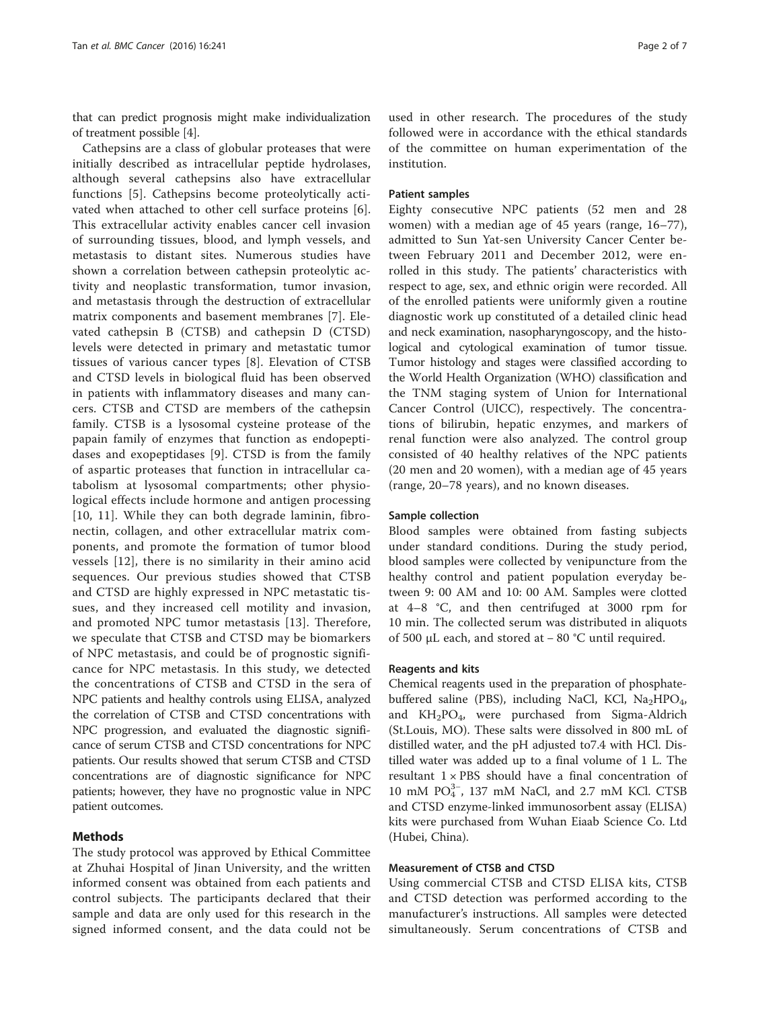that can predict prognosis might make individualization of treatment possible [\[4](#page-5-0)].

Cathepsins are a class of globular proteases that were initially described as intracellular peptide hydrolases, although several cathepsins also have extracellular functions [[5](#page-5-0)]. Cathepsins become proteolytically activated when attached to other cell surface proteins [\[6](#page-5-0)]. This extracellular activity enables cancer cell invasion of surrounding tissues, blood, and lymph vessels, and metastasis to distant sites. Numerous studies have shown a correlation between cathepsin proteolytic activity and neoplastic transformation, tumor invasion, and metastasis through the destruction of extracellular matrix components and basement membranes [[7](#page-5-0)]. Elevated cathepsin B (CTSB) and cathepsin D (CTSD) levels were detected in primary and metastatic tumor tissues of various cancer types [[8](#page-5-0)]. Elevation of CTSB and CTSD levels in biological fluid has been observed in patients with inflammatory diseases and many cancers. CTSB and CTSD are members of the cathepsin family. CTSB is a lysosomal cysteine protease of the papain family of enzymes that function as endopeptidases and exopeptidases [[9\]](#page-5-0). CTSD is from the family of aspartic proteases that function in intracellular catabolism at lysosomal compartments; other physiological effects include hormone and antigen processing [[10](#page-5-0), [11\]](#page-5-0). While they can both degrade laminin, fibronectin, collagen, and other extracellular matrix components, and promote the formation of tumor blood vessels [\[12\]](#page-5-0), there is no similarity in their amino acid sequences. Our previous studies showed that CTSB and CTSD are highly expressed in NPC metastatic tissues, and they increased cell motility and invasion, and promoted NPC tumor metastasis [[13\]](#page-5-0). Therefore, we speculate that CTSB and CTSD may be biomarkers of NPC metastasis, and could be of prognostic significance for NPC metastasis. In this study, we detected the concentrations of CTSB and CTSD in the sera of NPC patients and healthy controls using ELISA, analyzed the correlation of CTSB and CTSD concentrations with NPC progression, and evaluated the diagnostic significance of serum CTSB and CTSD concentrations for NPC patients. Our results showed that serum CTSB and CTSD concentrations are of diagnostic significance for NPC patients; however, they have no prognostic value in NPC patient outcomes.

#### Methods

The study protocol was approved by Ethical Committee at Zhuhai Hospital of Jinan University, and the written informed consent was obtained from each patients and control subjects. The participants declared that their sample and data are only used for this research in the signed informed consent, and the data could not be

used in other research. The procedures of the study followed were in accordance with the ethical standards of the committee on human experimentation of the institution.

#### Patient samples

Eighty consecutive NPC patients (52 men and 28 women) with a median age of 45 years (range, 16–77), admitted to Sun Yat-sen University Cancer Center between February 2011 and December 2012, were enrolled in this study. The patients' characteristics with respect to age, sex, and ethnic origin were recorded. All of the enrolled patients were uniformly given a routine diagnostic work up constituted of a detailed clinic head and neck examination, nasopharyngoscopy, and the histological and cytological examination of tumor tissue. Tumor histology and stages were classified according to the World Health Organization (WHO) classification and the TNM staging system of Union for International Cancer Control (UICC), respectively. The concentrations of bilirubin, hepatic enzymes, and markers of renal function were also analyzed. The control group consisted of 40 healthy relatives of the NPC patients (20 men and 20 women), with a median age of 45 years (range, 20–78 years), and no known diseases.

#### Sample collection

Blood samples were obtained from fasting subjects under standard conditions. During the study period, blood samples were collected by venipuncture from the healthy control and patient population everyday between 9: 00 AM and 10: 00 AM. Samples were clotted at 4–8 °C, and then centrifuged at 3000 rpm for 10 min. The collected serum was distributed in aliquots of 500 μL each, and stored at − 80 °C until required.

#### Reagents and kits

Chemical reagents used in the preparation of phosphatebuffered saline (PBS), including NaCl, KCl,  $Na<sub>2</sub>HPO<sub>4</sub>$ , and  $KH_{2}PO_{4}$ , were purchased from Sigma-Aldrich (St.Louis, MO). These salts were dissolved in 800 mL of distilled water, and the pH adjusted to7.4 with HCl. Distilled water was added up to a final volume of 1 L. The resultant  $1 \times PBS$  should have a final concentration of 10 mM PO $_4^{3-}$ , 137 mM NaCl, and 2.7 mM KCl. CTSB and CTSD enzyme-linked immunosorbent assay (ELISA) kits were purchased from Wuhan Eiaab Science Co. Ltd (Hubei, China).

#### Measurement of CTSB and CTSD

Using commercial CTSB and CTSD ELISA kits, CTSB and CTSD detection was performed according to the manufacturer's instructions. All samples were detected simultaneously. Serum concentrations of CTSB and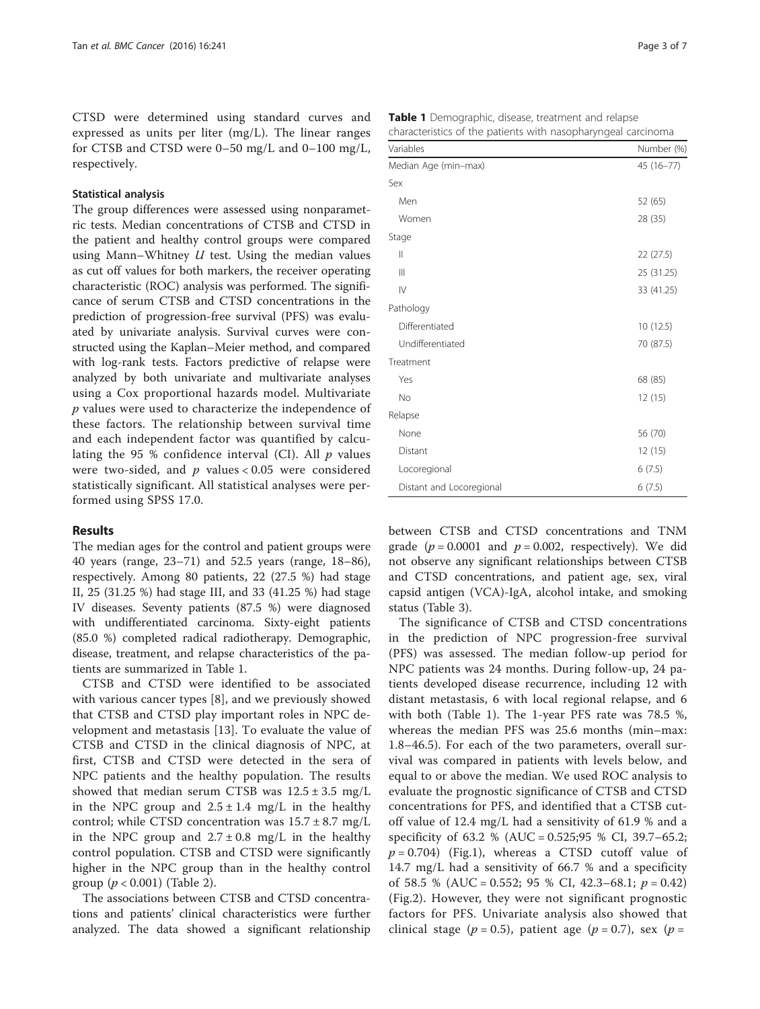CTSD were determined using standard curves and expressed as units per liter (mg/L). The linear ranges for CTSB and CTSD were 0–50 mg/L and 0–100 mg/L, respectively.

#### Statistical analysis

The group differences were assessed using nonparametric tests. Median concentrations of CTSB and CTSD in the patient and healthy control groups were compared using Mann–Whitney  $U$  test. Using the median values as cut off values for both markers, the receiver operating characteristic (ROC) analysis was performed. The significance of serum CTSB and CTSD concentrations in the prediction of progression-free survival (PFS) was evaluated by univariate analysis. Survival curves were constructed using the Kaplan–Meier method, and compared with log-rank tests. Factors predictive of relapse were analyzed by both univariate and multivariate analyses using a Cox proportional hazards model. Multivariate p values were used to characterize the independence of these factors. The relationship between survival time and each independent factor was quantified by calculating the 95 % confidence interval (CI). All  $p$  values were two-sided, and  $p$  values < 0.05 were considered statistically significant. All statistical analyses were performed using SPSS 17.0.

#### Results

The median ages for the control and patient groups were 40 years (range, 23–71) and 52.5 years (range, 18–86), respectively. Among 80 patients, 22 (27.5 %) had stage II, 25 (31.25 %) had stage III, and 33 (41.25 %) had stage IV diseases. Seventy patients (87.5 %) were diagnosed with undifferentiated carcinoma. Sixty-eight patients (85.0 %) completed radical radiotherapy. Demographic, disease, treatment, and relapse characteristics of the patients are summarized in Table 1.

CTSB and CTSD were identified to be associated with various cancer types [\[8](#page-5-0)], and we previously showed that CTSB and CTSD play important roles in NPC development and metastasis [[13\]](#page-5-0). To evaluate the value of CTSB and CTSD in the clinical diagnosis of NPC, at first, CTSB and CTSD were detected in the sera of NPC patients and the healthy population. The results showed that median serum CTSB was  $12.5 \pm 3.5$  mg/L in the NPC group and  $2.5 \pm 1.4$  mg/L in the healthy control; while CTSD concentration was  $15.7 \pm 8.7$  mg/L in the NPC group and  $2.7 \pm 0.8$  mg/L in the healthy control population. CTSB and CTSD were significantly higher in the NPC group than in the healthy control group  $(p < 0.001)$  (Table [2](#page-3-0)).

The associations between CTSB and CTSD concentrations and patients' clinical characteristics were further analyzed. The data showed a significant relationship

| <b>Table 1</b> Demographic, disease, treatment and relapse    |
|---------------------------------------------------------------|
| characteristics of the patients with nasopharyngeal carcinoma |

| Variables                | Number (%) |  |
|--------------------------|------------|--|
| Median Age (min-max)     | 45 (16-77) |  |
| Sex                      |            |  |
| Men                      | 52 (65)    |  |
| Women                    | 28 (35)    |  |
| Stage                    |            |  |
| $\mathbf{  }$            | 22 (27.5)  |  |
| $\mathbf{III}$           | 25 (31.25) |  |
| $\mathsf{IV}$            | 33 (41.25) |  |
| Pathology                |            |  |
| Differentiated           | 10 (12.5)  |  |
| Undifferentiated         | 70 (87.5)  |  |
| Treatment                |            |  |
| Yes                      | 68 (85)    |  |
| No                       | 12 (15)    |  |
| Relapse                  |            |  |
| None                     | 56 (70)    |  |
| Distant                  | 12 (15)    |  |
| Locoregional             | 6(7.5)     |  |
| Distant and Locoregional | 6(7.5)     |  |

between CTSB and CTSD concentrations and TNM grade ( $p = 0.0001$  and  $p = 0.002$ , respectively). We did not observe any significant relationships between CTSB and CTSD concentrations, and patient age, sex, viral capsid antigen (VCA)-IgA, alcohol intake, and smoking status (Table [3](#page-3-0)).

The significance of CTSB and CTSD concentrations in the prediction of NPC progression-free survival (PFS) was assessed. The median follow-up period for NPC patients was 24 months. During follow-up, 24 patients developed disease recurrence, including 12 with distant metastasis, 6 with local regional relapse, and 6 with both (Table 1). The 1-year PFS rate was 78.5 %, whereas the median PFS was 25.6 months (min–max: 1.8–46.5). For each of the two parameters, overall survival was compared in patients with levels below, and equal to or above the median. We used ROC analysis to evaluate the prognostic significance of CTSB and CTSD concentrations for PFS, and identified that a CTSB cutoff value of 12.4 mg/L had a sensitivity of 61.9 % and a specificity of 63.2 % (AUC = 0.525;95 % CI, 39.7–65.2;  $p = 0.704$ ) (Fig.[1\)](#page-4-0), whereas a CTSD cutoff value of 14.7 mg/L had a sensitivity of 66.7 % and a specificity of 58.5 % (AUC = 0.552; 95 % CI, 42.3–68.1;  $p = 0.42$ ) (Fig[.2](#page-4-0)). However, they were not significant prognostic factors for PFS. Univariate analysis also showed that clinical stage ( $p = 0.5$ ), patient age ( $p = 0.7$ ), sex ( $p =$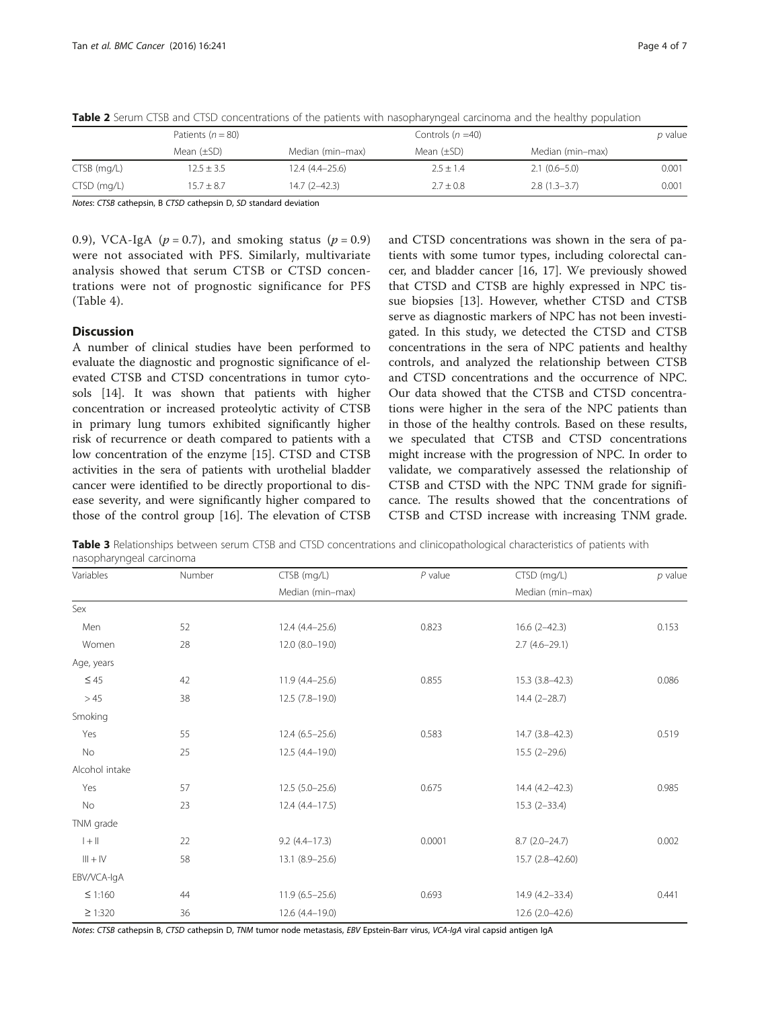|             | Patients $(n = 80)$ |                  | Controls $(n = 40)$ |                  | p value |
|-------------|---------------------|------------------|---------------------|------------------|---------|
|             | Mean $(\pm SD)$     | Median (min-max) | Mean $(\pm SD)$     | Median (min-max) |         |
| CTSB (mg/L) | $12.5 \pm 3.5$      | $12.4(4.4-25.6)$ | $2.5 \pm 1.4$       | $2.1(0.6-5.0)$   | 0.001   |
| CTSD (mg/L) | $15.7 \pm 8.7$      | $14.7(2 - 42.3)$ | $2.7 \pm 0.8$       | $2.8(1.3-3.7)$   | 0.001   |

<span id="page-3-0"></span>Table 2 Serum CTSB and CTSD concentrations of the patients with nasopharyngeal carcinoma and the healthy population

Notes: CTSB cathepsin, B CTSD cathepsin D, SD standard deviation

0.9), VCA-IgA ( $p = 0.7$ ), and smoking status ( $p = 0.9$ ) were not associated with PFS. Similarly, multivariate analysis showed that serum CTSB or CTSD concentrations were not of prognostic significance for PFS (Table [4](#page-4-0)).

#### **Discussion**

A number of clinical studies have been performed to evaluate the diagnostic and prognostic significance of elevated CTSB and CTSD concentrations in tumor cytosols [[14](#page-5-0)]. It was shown that patients with higher concentration or increased proteolytic activity of CTSB in primary lung tumors exhibited significantly higher risk of recurrence or death compared to patients with a low concentration of the enzyme [\[15](#page-5-0)]. CTSD and CTSB activities in the sera of patients with urothelial bladder cancer were identified to be directly proportional to disease severity, and were significantly higher compared to those of the control group [\[16\]](#page-5-0). The elevation of CTSB and CTSD concentrations was shown in the sera of patients with some tumor types, including colorectal cancer, and bladder cancer [\[16](#page-5-0), [17](#page-5-0)]. We previously showed that CTSD and CTSB are highly expressed in NPC tissue biopsies [[13](#page-5-0)]. However, whether CTSD and CTSB serve as diagnostic markers of NPC has not been investigated. In this study, we detected the CTSD and CTSB concentrations in the sera of NPC patients and healthy controls, and analyzed the relationship between CTSB and CTSD concentrations and the occurrence of NPC. Our data showed that the CTSB and CTSD concentrations were higher in the sera of the NPC patients than in those of the healthy controls. Based on these results, we speculated that CTSB and CTSD concentrations might increase with the progression of NPC. In order to validate, we comparatively assessed the relationship of CTSB and CTSD with the NPC TNM grade for significance. The results showed that the concentrations of CTSB and CTSD increase with increasing TNM grade.

Table 3 Relationships between serum CTSB and CTSD concentrations and clinicopathological characteristics of patients with nasopharyngeal carcinoma

| Variables                                                                           | Number | CTSB (mg/L)         | $P$ value | CTSD (mg/L)        | $p$ value |
|-------------------------------------------------------------------------------------|--------|---------------------|-----------|--------------------|-----------|
|                                                                                     |        | Median (min-max)    |           | Median (min-max)   |           |
| Sex                                                                                 |        |                     |           |                    |           |
| Men                                                                                 | 52     | 12.4 (4.4-25.6)     | 0.823     | $16.6(2-42.3)$     | 0.153     |
| Women                                                                               | 28     | $12.0 (8.0 - 19.0)$ |           | $2.7(4.6-29.1)$    |           |
| Age, years                                                                          |        |                     |           |                    |           |
| $\leq 45$                                                                           | 42     | $11.9(4.4 - 25.6)$  | 0.855     | $15.3(3.8-42.3)$   | 0.086     |
| >45                                                                                 | 38     | $12.5(7.8-19.0)$    |           | $14.4(2-28.7)$     |           |
| Smoking                                                                             |        |                     |           |                    |           |
| Yes                                                                                 | 55     | $12.4(6.5-25.6)$    | 0.583     | 14.7 (3.8-42.3)    | 0.519     |
| No                                                                                  | 25     | 12.5 (4.4-19.0)     |           | $15.5(2-29.6)$     |           |
| Alcohol intake                                                                      |        |                     |           |                    |           |
| Yes                                                                                 | 57     | $12.5(5.0-25.6)$    | 0.675     | 14.4 (4.2-42.3)    | 0.985     |
| <b>No</b>                                                                           | 23     | $12.4(4.4-17.5)$    |           | $15.3$ $(2-33.4)$  |           |
| TNM grade                                                                           |        |                     |           |                    |           |
| $\vert + \vert \vert$                                                               | 22     | $9.2(4.4 - 17.3)$   | 0.0001    | $8.7(2.0-24.7)$    | 0.002     |
| $\left\vert \right\vert \right\vert +\left\vert \right\vert \left\vert \right\vert$ | 58     | $13.1 (8.9 - 25.6)$ |           | 15.7 (2.8-42.60)   |           |
| EBV/VCA-IgA                                                                         |        |                     |           |                    |           |
| $\leq 1:160$                                                                        | 44     | $11.9(6.5 - 25.6)$  | 0.693     | $14.9(4.2 - 33.4)$ | 0.441     |
| $\geq 1:320$                                                                        | 36     | $12.6(4.4-19.0)$    |           | 12.6 (2.0-42.6)    |           |

Notes: CTSB cathepsin B, CTSD cathepsin D, TNM tumor node metastasis, EBV Epstein-Barr virus, VCA-IgA viral capsid antigen IgA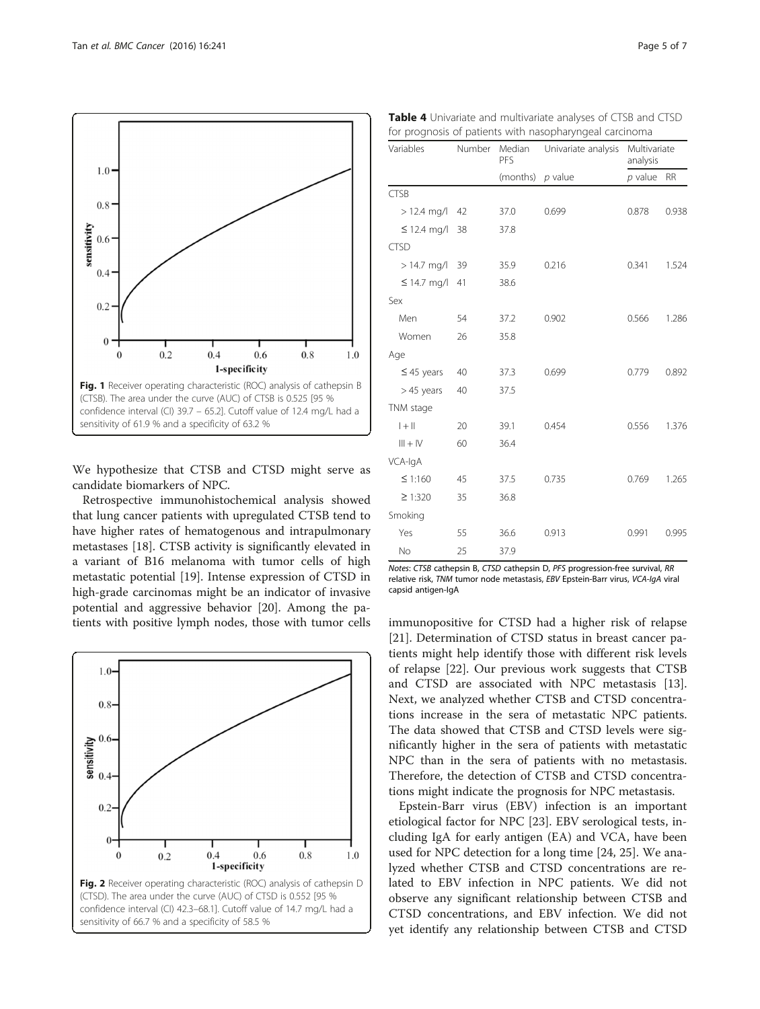

<span id="page-4-0"></span>

We hypothesize that CTSB and CTSD might serve as candidate biomarkers of NPC.

Retrospective immunohistochemical analysis showed that lung cancer patients with upregulated CTSB tend to have higher rates of hematogenous and intrapulmonary metastases [[18\]](#page-5-0). CTSB activity is significantly elevated in a variant of B16 melanoma with tumor cells of high metastatic potential [\[19](#page-5-0)]. Intense expression of CTSD in high-grade carcinomas might be an indicator of invasive potential and aggressive behavior [\[20\]](#page-5-0). Among the patients with positive lymph nodes, those with tumor cells immunopositive for CTSD had a higher risk of relapse



Table 4 Univariate and multivariate analyses of CTSB and CTSD for prognosis of patients with nasopharyngeal carcinoma

| Variables        | Number | Median<br>PFS | Univariate analysis | Multivariate<br>analysis |           |
|------------------|--------|---------------|---------------------|--------------------------|-----------|
|                  |        | (months)      | $p$ value           | $p$ value                | <b>RR</b> |
| <b>CTSB</b>      |        |               |                     |                          |           |
| $> 12.4$ mg/l    | 42     | 37.0          | 0.699               | 0.878                    | 0.938     |
| $\leq$ 12.4 mg/l | 38     | 37.8          |                     |                          |           |
| <b>CTSD</b>      |        |               |                     |                          |           |
| $> 14.7$ mg/l    | 39     | 35.9          | 0.216               | 0.341                    | 1.524     |
| $\leq$ 14.7 mg/l | 41     | 38.6          |                     |                          |           |
| Sex              |        |               |                     |                          |           |
| Men              | 54     | 37.2          | 0.902               | 0.566                    | 1.286     |
| Women            | 26     | 35.8          |                     |                          |           |
| Age              |        |               |                     |                          |           |
| $\leq$ 45 years  | 40     | 37.3          | 0.699               | 0.779                    | 0.892     |
| $>45$ years      | 40     | 37.5          |                     |                          |           |
| TNM stage        |        |               |                     |                          |           |
| $ + $            | 20     | 39.1          | 0.454               | 0.556                    | 1.376     |
| $III + IV$       | 60     | 36.4          |                     |                          |           |
| VCA-IgA          |        |               |                     |                          |           |
| ≤ 1:160          | 45     | 37.5          | 0.735               | 0.769                    | 1.265     |
| $\geq 1:320$     | 35     | 36.8          |                     |                          |           |
| Smoking          |        |               |                     |                          |           |
| Yes              | 55     | 36.6          | 0.913               | 0.991                    | 0.995     |
| No               | 25     | 37.9          |                     |                          |           |

Notes: CTSB cathepsin B, CTSD cathepsin D, PFS progression-free survival, RR relative risk, TNM tumor node metastasis, EBV Epstein-Barr virus, VCA-IgA viral capsid antigen-IgA

[[21\]](#page-5-0). Determination of CTSD status in breast cancer patients might help identify those with different risk levels of relapse [[22](#page-5-0)]. Our previous work suggests that CTSB and CTSD are associated with NPC metastasis [\[13](#page-5-0)]. Next, we analyzed whether CTSB and CTSD concentrations increase in the sera of metastatic NPC patients. The data showed that CTSB and CTSD levels were significantly higher in the sera of patients with metastatic NPC than in the sera of patients with no metastasis. Therefore, the detection of CTSB and CTSD concentrations might indicate the prognosis for NPC metastasis.

Epstein-Barr virus (EBV) infection is an important etiological factor for NPC [\[23](#page-5-0)]. EBV serological tests, including IgA for early antigen (EA) and VCA, have been used for NPC detection for a long time [[24,](#page-5-0) [25](#page-6-0)]. We analyzed whether CTSB and CTSD concentrations are related to EBV infection in NPC patients. We did not observe any significant relationship between CTSB and CTSD concentrations, and EBV infection. We did not yet identify any relationship between CTSB and CTSD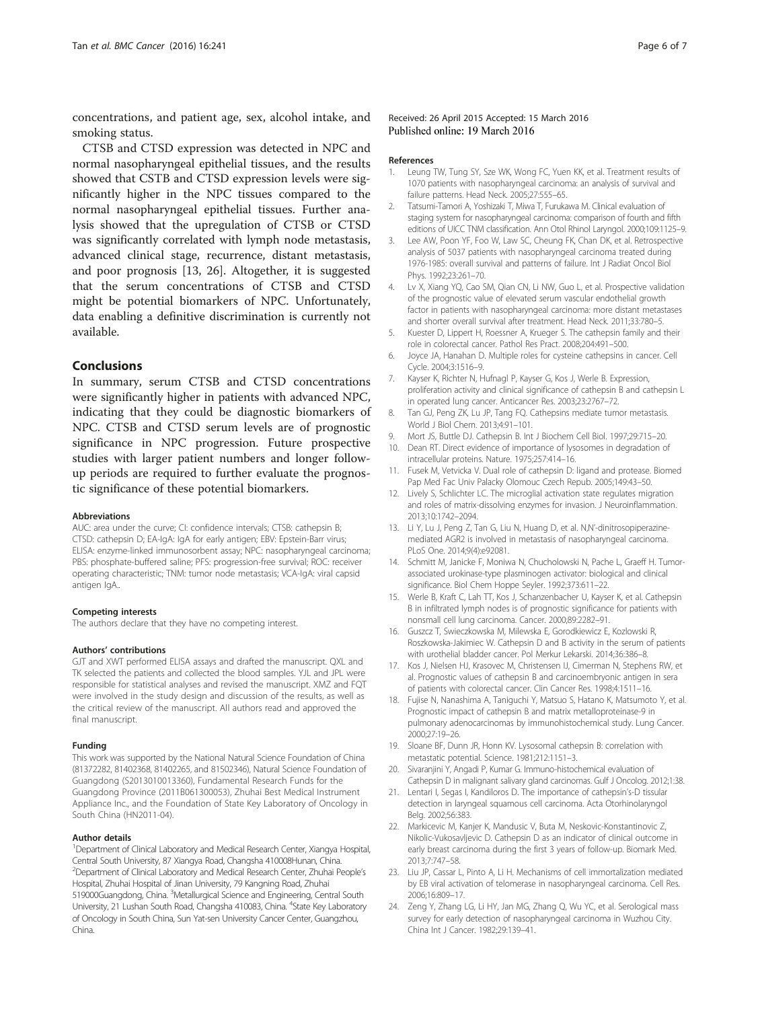<span id="page-5-0"></span>concentrations, and patient age, sex, alcohol intake, and smoking status.

CTSB and CTSD expression was detected in NPC and normal nasopharyngeal epithelial tissues, and the results showed that CSTB and CTSD expression levels were significantly higher in the NPC tissues compared to the normal nasopharyngeal epithelial tissues. Further analysis showed that the upregulation of CTSB or CTSD was significantly correlated with lymph node metastasis, advanced clinical stage, recurrence, distant metastasis, and poor prognosis [13, [26\]](#page-6-0). Altogether, it is suggested that the serum concentrations of CTSB and CTSD might be potential biomarkers of NPC. Unfortunately, data enabling a definitive discrimination is currently not available.

#### Conclusions

In summary, serum CTSB and CTSD concentrations were significantly higher in patients with advanced NPC, indicating that they could be diagnostic biomarkers of NPC. CTSB and CTSD serum levels are of prognostic significance in NPC progression. Future prospective studies with larger patient numbers and longer followup periods are required to further evaluate the prognostic significance of these potential biomarkers.

#### Abbreviations

AUC: area under the curve; CI: confidence intervals; CTSB: cathepsin B; CTSD: cathepsin D; EA-IgA: IgA for early antigen; EBV: Epstein-Barr virus; ELISA: enzyme-linked immunosorbent assay; NPC: nasopharyngeal carcinoma; PBS: phosphate-buffered saline; PFS: progression-free survival; ROC: receiver operating characteristic; TNM: tumor node metastasis; VCA-IgA: viral capsid antigen IgA..

#### Competing interests

The authors declare that they have no competing interest.

#### Authors' contributions

GJT and XWT performed ELISA assays and drafted the manuscript. QXL and TK selected the patients and collected the blood samples. YJL and JPL were responsible for statistical analyses and revised the manuscript. XMZ and FQT were involved in the study design and discussion of the results, as well as the critical review of the manuscript. All authors read and approved the final manuscript.

#### Funding

This work was supported by the National Natural Science Foundation of China (81372282, 81402368, 81402265, and 81502346), Natural Science Foundation of Guangdong (S2013010013360), Fundamental Research Funds for the Guangdong Province (2011B061300053), Zhuhai Best Medical Instrument Appliance Inc., and the Foundation of State Key Laboratory of Oncology in South China (HN2011-04).

#### Author details

<sup>1</sup> Department of Clinical Laboratory and Medical Research Center, Xiangya Hospital, Central South University, 87 Xiangya Road, Changsha 410008Hunan, China. <sup>2</sup>Department of Clinical Laboratory and Medical Research Center, Zhuhai People's Hospital, Zhuhai Hospital of Jinan University, 79 Kangning Road, Zhuhai 519000Guangdong, China. <sup>3</sup>Metallurgical Science and Engineering, Central South University, 21 Lushan South Road, Changsha 410083, China. <sup>4</sup>State Key Laboratory of Oncology in South China, Sun Yat-sen University Cancer Center, Guangzhou, China.

#### Received: 26 April 2015 Accepted: 15 March 2016 Published online: 19 March 2016

#### References

- 1. Leung TW, Tung SY, Sze WK, Wong FC, Yuen KK, et al. Treatment results of 1070 patients with nasopharyngeal carcinoma: an analysis of survival and failure patterns. Head Neck. 2005;27:555–65.
- 2. Tatsumi-Tamori A, Yoshizaki T, Miwa T, Furukawa M. Clinical evaluation of staging system for nasopharyngeal carcinoma: comparison of fourth and fifth editions of UICC TNM classification. Ann Otol Rhinol Laryngol. 2000;109:1125–9.
- 3. Lee AW, Poon YF, Foo W, Law SC, Cheung FK, Chan DK, et al. Retrospective analysis of 5037 patients with nasopharyngeal carcinoma treated during 1976-1985: overall survival and patterns of failure. Int J Radiat Oncol Biol Phys. 1992;23:261–70.
- 4. Lv X, Xiang YQ, Cao SM, Qian CN, Li NW, Guo L, et al. Prospective validation of the prognostic value of elevated serum vascular endothelial growth factor in patients with nasopharyngeal carcinoma: more distant metastases and shorter overall survival after treatment. Head Neck. 2011;33:780–5.
- 5. Kuester D, Lippert H, Roessner A, Krueger S. The cathepsin family and their role in colorectal cancer. Pathol Res Pract. 2008;204:491–500.
- 6. Joyce JA, Hanahan D. Multiple roles for cysteine cathepsins in cancer. Cell Cycle. 2004;3:1516–9.
- 7. Kayser K, Richter N, Hufnagl P, Kayser G, Kos J, Werle B. Expression, proliferation activity and clinical significance of cathepsin B and cathepsin L in operated lung cancer. Anticancer Res. 2003;23:2767–72.
- 8. Tan GJ, Peng ZK, Lu JP, Tang FQ. Cathepsins mediate tumor metastasis. World J Biol Chem. 2013;4:91–101.
- 9. Mort JS, Buttle DJ. Cathepsin B. Int J Biochem Cell Biol. 1997;29:715–20.
- 10. Dean RT. Direct evidence of importance of lysosomes in degradation of intracellular proteins. Nature. 1975;257:414–16.
- 11. Fusek M, Vetvicka V. Dual role of cathepsin D: ligand and protease. Biomed Pap Med Fac Univ Palacky Olomouc Czech Repub. 2005;149:43–50.
- 12. Lively S, Schlichter LC. The microglial activation state regulates migration and roles of matrix-dissolving enzymes for invasion. J Neuroinflammation. 2013;10:1742–2094.
- 13. Li Y, Lu J, Peng Z, Tan G, Liu N, Huang D, et al. N,N'-dinitrosopiperazinemediated AGR2 is involved in metastasis of nasopharyngeal carcinoma. PLoS One. 2014;9(4):e92081.
- 14. Schmitt M, Janicke F, Moniwa N, Chucholowski N, Pache L, Graeff H. Tumorassociated urokinase-type plasminogen activator: biological and clinical significance. Biol Chem Hoppe Seyler. 1992;373:611–22.
- 15. Werle B, Kraft C, Lah TT, Kos J, Schanzenbacher U, Kayser K, et al. Cathepsin B in infiltrated lymph nodes is of prognostic significance for patients with nonsmall cell lung carcinoma. Cancer. 2000;89:2282–91.
- 16. Guszcz T, Swieczkowska M, Milewska E, Gorodkiewicz E, Kozlowski R, Roszkowska-Jakimiec W. Cathepsin D and B activity in the serum of patients with urothelial bladder cancer. Pol Merkur Lekarski. 2014;36:386–8.
- 17. Kos J, Nielsen HJ, Krasovec M, Christensen IJ, Cimerman N, Stephens RW, et al. Prognostic values of cathepsin B and carcinoembryonic antigen in sera of patients with colorectal cancer. Clin Cancer Res. 1998;4:1511–16.
- 18. Fujise N, Nanashima A, Taniguchi Y, Matsuo S, Hatano K, Matsumoto Y, et al. Prognostic impact of cathepsin B and matrix metalloproteinase-9 in pulmonary adenocarcinomas by immunohistochemical study. Lung Cancer. 2000;27:19–26.
- 19. Sloane BF, Dunn JR, Honn KV. Lysosomal cathepsin B: correlation with metastatic potential. Science. 1981;212:1151–3.
- 20. Sivaranjini Y, Angadi P, Kumar G. Immuno-histochemical evaluation of Cathepsin D in malignant salivary gland carcinomas. Gulf J Oncolog. 2012;1:38.
- 21. Lentari I, Segas I, Kandiloros D. The importance of cathepsin's-D tissular detection in laryngeal squamous cell carcinoma. Acta Otorhinolaryngol Belg. 2002;56:383.
- 22. Markicevic M, Kanjer K, Mandusic V, Buta M, Neskovic-Konstantinovic Z, Nikolic-Vukosavljevic D. Cathepsin D as an indicator of clinical outcome in early breast carcinoma during the first 3 years of follow-up. Biomark Med. 2013;7:747–58.
- 23. Liu JP, Cassar L, Pinto A, Li H. Mechanisms of cell immortalization mediated by EB viral activation of telomerase in nasopharyngeal carcinoma. Cell Res. 2006;16:809–17.
- 24. Zeng Y, Zhang LG, Li HY, Jan MG, Zhang Q, Wu YC, et al. Serological mass survey for early detection of nasopharyngeal carcinoma in Wuzhou City. China Int J Cancer. 1982;29:139–41.